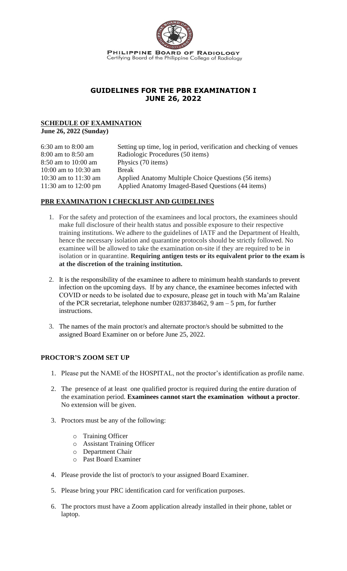

# **GUIDELINES FOR THE PBR EXAMINATION I JUNE 26, 2022**

# **SCHEDULE OF EXAMINATION**

**June 26, 2022 (Sunday)**

| $6:30$ am to $8:00$ am | Setting up time, log in period, verification and checking of venues |
|------------------------|---------------------------------------------------------------------|
| 8:00 am to 8:50 am     | Radiologic Procedures (50 items)                                    |
| 8:50 am to 10:00 am    | Physics (70 items)                                                  |
| 10:00 am to $10:30$ am | <b>Break</b>                                                        |
| 10:30 am to $11:30$ am | Applied Anatomy Multiple Choice Questions (56 items)                |
| 11:30 am to 12:00 pm   | Applied Anatomy Imaged-Based Questions (44 items)                   |

# **PBR EXAMINATION I CHECKLIST AND GUIDELINES**

- 1. For the safety and protection of the examinees and local proctors, the examinees should make full disclosure of their health status and possible exposure to their respective training institutions. We adhere to the guidelines of IATF and the Department of Health, hence the necessary isolation and quarantine protocols should be strictly followed. No examinee will be allowed to take the examination on-site if they are required to be in isolation or in quarantine. **Requiring antigen tests or its equivalent prior to the exam is at the discretion of the training institution.**
- 2. It is the responsibility of the examinee to adhere to minimum health standards to prevent infection on the upcoming days. If by any chance, the examinee becomes infected with COVID or needs to be isolated due to exposure, please get in touch with Ma'am Ralaine of the PCR secretariat, telephone number 0283738462, 9 am – 5 pm, for further instructions.
- 3. The names of the main proctor/s and alternate proctor/s should be submitted to the assigned Board Examiner on or before June 25, 2022.

## **PROCTOR'S ZOOM SET UP**

- 1. Please put the NAME of the HOSPITAL, not the proctor's identification as profile name.
- 2. The presence of at least one qualified proctor is required during the entire duration of the examination period. **Examinees cannot start the examination without a proctor**. No extension will be given.
- 3. Proctors must be any of the following:
	- o Training Officer
	- o Assistant Training Officer
	- o Department Chair
	- o Past Board Examiner
- 4. Please provide the list of proctor/s to your assigned Board Examiner.
- 5. Please bring your PRC identification card for verification purposes.
- 6. The proctors must have a Zoom application already installed in their phone, tablet or laptop.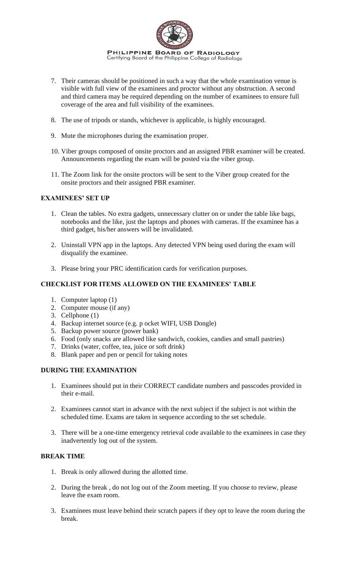

- 7. Their cameras should be positioned in such a way that the whole examination venue is visible with full view of the examinees and proctor without any obstruction. A second and third camera may be required depending on the number of examinees to ensure full coverage of the area and full visibility of the examinees.
- 8. The use of tripods or stands, whichever is applicable, is highly encouraged.
- 9. Mute the microphones during the examination proper.
- 10. Viber groups composed of onsite proctors and an assigned PBR examiner will be created. Announcements regarding the exam will be posted via the viber group.
- 11. The Zoom link for the onsite proctors will be sent to the Viber group created for the onsite proctors and their assigned PBR examiner.

## **EXAMINEES' SET UP**

- 1. Clean the tables. No extra gadgets, unnecessary clutter on or under the table like bags, notebooks and the like, just the laptops and phones with cameras. If the examinee has a third gadget, his/her answers will be invalidated.
- 2. Uninstall VPN app in the laptops. Any detected VPN being used during the exam will disqualify the examinee.
- 3. Please bring your PRC identification cards for verification purposes.

### **CHECKLIST FOR ITEMS ALLOWED ON THE EXAMINEES' TABLE**

- 1. Computer laptop (1)
- 2. Computer mouse (if any)
- 3. Cellphone (1)
- 4. Backup internet source (e.g. p ocket WIFI, USB Dongle)
- 5. Backup power source (power bank)
- 6. Food (only snacks are allowed like sandwich, cookies, candies and small pastries)
- 7. Drinks (water, coffee, tea, juice or soft drink)
- 8. Blank paper and pen or pencil for taking notes

#### **DURING THE EXAMINATION**

- 1. Examinees should put in their CORRECT candidate numbers and passcodes provided in their e-mail.
- 2. Examinees cannot start in advance with the next subject if the subject is not within the scheduled time. Exams are taken in sequence according to the set schedule.
- 3. There will be a one-time emergency retrieval code available to the examinees in case they inadvertently log out of the system.

### **BREAK TIME**

- 1. Break is only allowed during the allotted time.
- 2. During the break , do not log out of the Zoom meeting. If you choose to review, please leave the exam room.
- 3. Examinees must leave behind their scratch papers if they opt to leave the room during the break.